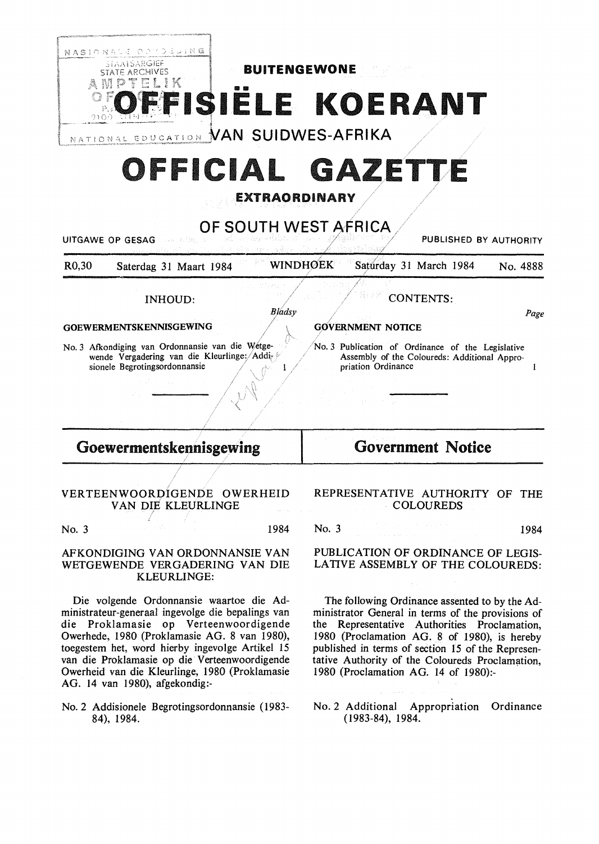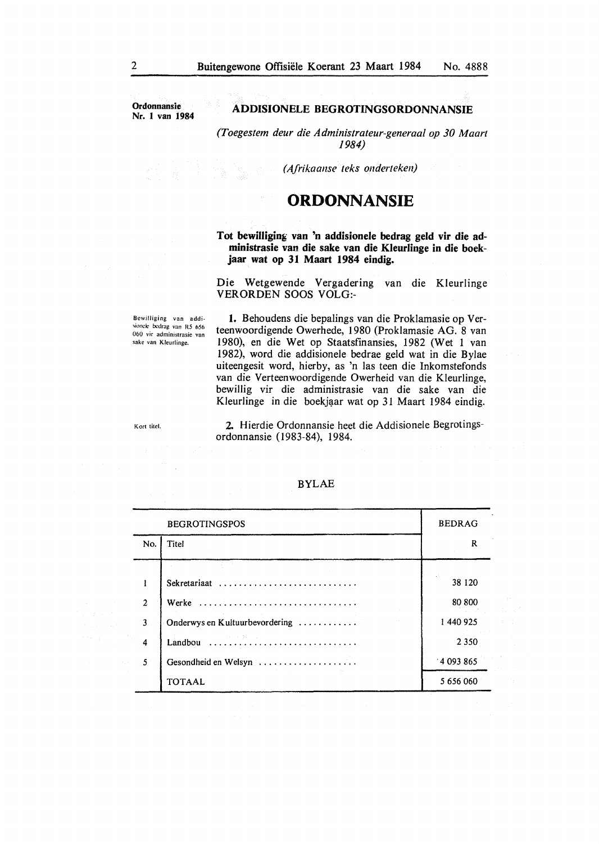**Ordonnansie Nr. l van 1984** 

#### **ADDISIONELE BEGROTINGSORDONNANSIE**

*(Toegestem deur die Administrateur-generaal op 30 Maart 1984)* 

*(A.frikaanse teks onderteken)* 

## **ORDONNANSIE**

**Tot bewilliging van 'n addisionele bedrag geld vir die administrasie van die sake van die Kleurlinge in die boekjaar wat op 31 Maart 1984 eindig.** 

Die Wetgewende Vergadering van die Kleurlinge VERORDEN SOOS VOLO:-

Bewilliging van addi sionele bedrag van R5 656 060 vir administrasie van sake van Kleurlinge.

1. Behoudens die bepalings van die Proklamasie op Verteenwoordigende Owerhede, 1980 (Proklamasie AG. 8 van 1980), en die Wet op Staatsfinansies, 1982 (Wet 1 van 1982), word die addisionele bedrae geld wat in die Bylae uiteengesit word, hierby, as 'n las teen die Inkomstefonds van die Verteenwoordigende Owerheid van die Kleurlinge, bewillig vir die administrasie van die sake van die Kleurlinge in die boekjaar wat op 31 Maart 1984 eindig.

Kort titel.

**2.** Hierdie Ordonnansie heet die Addisionele Begrotingsordonnansie (1983-84), 1984.

|                | <b>BEGROTINGSPOS</b>           | <b>BEDRAG</b> |
|----------------|--------------------------------|---------------|
| No.            | Titel                          | R             |
|                |                                |               |
|                | Sekretariaat                   | 38 1 20       |
| $\overline{2}$ |                                | 80 800        |
| 3              | Onderwys en Kultuurbevordering | 1 440 925     |
| 4              |                                | 2 3 5 0       |
| $\mathfrak{S}$ | Gesondheid en Welsyn           | 14093865      |
|                | <b>TOTAAL</b>                  | 5 656 060     |

#### BYLAE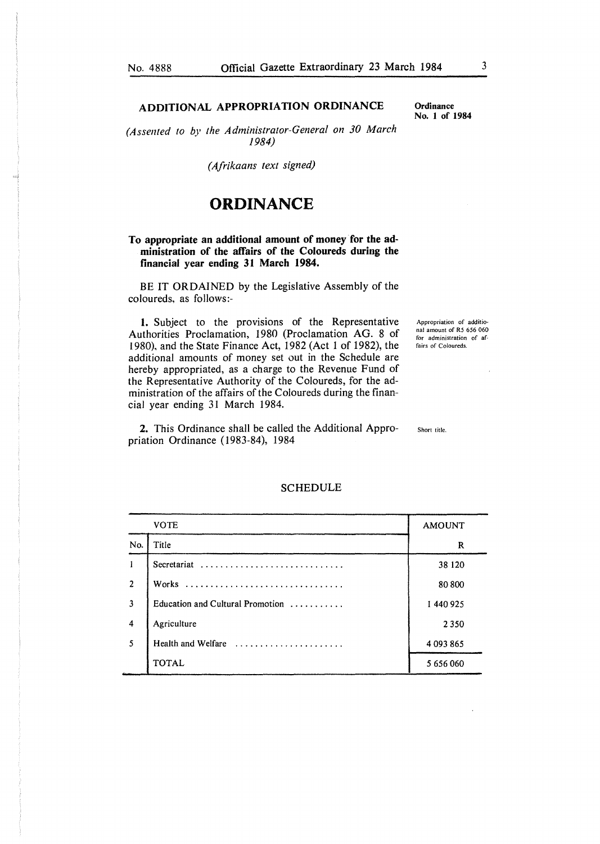## **ADDITIONAL APPROPRIATION ORDINANCE**

*(Assented to by the Administrator-General on 30 March 1984)* 

*(Afrikaans text signed)* 

## **ORDINANCE**

#### **To appropriate an additional amount of money for the administration of the affairs of the Coloureds during the financial year ending 31 March 1984.**

BE IT ORDAINED by the Legislative Assembly of the coloureds, as follows:-

**1.** Subject to the provisions of the Representative Authorities Proclamation, 1980 (Proclamation AG. 8 of 1980), and the State Finance Act, 1982 (Act 1 of 1982), the additional amounts of money set out in the Schedule are hereby appropriated, as a charge to the Revenue Fund of the Representative Authority of the Coloureds, for the administration of the affairs of the Coloureds during the financial year ending 31 March 1984.

**2.** This Ordinance shall be called the Additional Appropriation Ordinance (1983-84), 1984

Appropriation of additional amount of R5 656 060 for administration of affairs of Coloureds.

Short title.

|                         | <b>VOTE</b>                      | <b>AMOUNT</b> |
|-------------------------|----------------------------------|---------------|
| No.                     | Title                            | R             |
|                         | Secretariat                      | 38 1 20       |
| $\overline{c}$          | Works                            | 80 800        |
| $\overline{3}$          | Education and Cultural Promotion | 1440925       |
| $\overline{\mathbf{4}}$ | Agriculture                      | 2 3 5 0       |
| 5                       | Health and Welfare               | 4 093 865     |
|                         | <b>TOTAL</b>                     | 5 656 060     |

#### SCHEDULE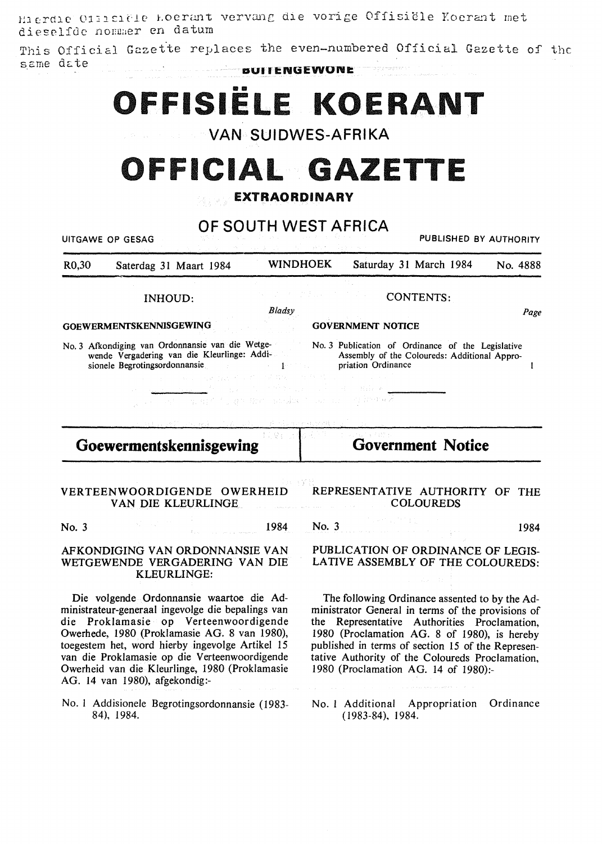Hierdie Offisiële koerant vervang die vorige Offisiële Koerant met dieselfde nommer en datum

This Official Gazette replaces the even-numbered Official Gazette of the same date **DUITENGEWONE** 

OFFISIËLE KOERANT

**VAN SUIDWES-AFRIKA** 

# OFFICIAL GAZETTE

## EXTRAORDINARY

| OF SOUTH WEST AFRICA<br>PUBLISHED BY AUTHORITY<br>UITGAWE OP GESAG |                                                                                                                                                                                                                                                                                                                                                                                |                                                                                 |                                           |                                                                                                                                                                                                                                                                                                                                                     |           |
|--------------------------------------------------------------------|--------------------------------------------------------------------------------------------------------------------------------------------------------------------------------------------------------------------------------------------------------------------------------------------------------------------------------------------------------------------------------|---------------------------------------------------------------------------------|-------------------------------------------|-----------------------------------------------------------------------------------------------------------------------------------------------------------------------------------------------------------------------------------------------------------------------------------------------------------------------------------------------------|-----------|
| R <sub>0</sub> ,30                                                 | Saterdag 31 Maart 1984                                                                                                                                                                                                                                                                                                                                                         | WINDHOEK                                                                        |                                           | Saturday 31 March 1984                                                                                                                                                                                                                                                                                                                              | No. 4888  |
|                                                                    | INHOUD:                                                                                                                                                                                                                                                                                                                                                                        | Bladsy                                                                          |                                           | <b>CONTENTS:</b>                                                                                                                                                                                                                                                                                                                                    | Page      |
|                                                                    | <b>GOEWERMENTSKENNISGEWING</b>                                                                                                                                                                                                                                                                                                                                                 |                                                                                 | <b>GOVERNMENT NOTICE</b>                  |                                                                                                                                                                                                                                                                                                                                                     |           |
|                                                                    | No. 3 Afkondiging van Ordonnansie van die Wetge-<br>wende Vergadering van die Kleurlinge: Addi-<br>Assembly of the Coloureds: Additional Appro-<br>sionele Begrotingsordonnansie<br>$\mathcal{L}(\mathcal{L}^{\text{max}}_{\text{max}})$ , where $\mathcal{L}^{\text{max}}_{\text{max}}$<br>なんこうしょ ひとうれん オープス 貴族 こ<br>ing ing applicit graph and a manuscript of the second    | $\mathbf{1}^{n\times n\times n}$ and $\mathbf{1}^{n\times n}$<br>an teknologiya | priation Ordinance<br>Since Hotel Hills & |                                                                                                                                                                                                                                                                                                                                                     | 1         |
|                                                                    | Goewermentskennisgewing                                                                                                                                                                                                                                                                                                                                                        |                                                                                 |                                           | <b>Government Notice</b>                                                                                                                                                                                                                                                                                                                            |           |
|                                                                    | VERTEENWOORDIGENDE OWERHEID<br>VAN DIE KLEURLINGE                                                                                                                                                                                                                                                                                                                              |                                                                                 |                                           | REPRESENTATIVE AUTHORITY OF THE<br><b>COLOUREDS</b>                                                                                                                                                                                                                                                                                                 |           |
| No. 3                                                              |                                                                                                                                                                                                                                                                                                                                                                                | 1984                                                                            | No. $3$                                   |                                                                                                                                                                                                                                                                                                                                                     | 1984      |
|                                                                    | AFKONDIGING VAN ORDONNANSIE VAN<br>WETGEWENDE VERGADERING VAN DIE<br>KLEURLINGE:                                                                                                                                                                                                                                                                                               |                                                                                 |                                           | PUBLICATION OF ORDINANCE OF LEGIS-<br>LATIVE ASSEMBLY OF THE COLOUREDS:                                                                                                                                                                                                                                                                             |           |
|                                                                    | Die volgende Ordonnansie waartoe die Ad-<br>ministrateur-generaal ingevolge die bepalings van<br>die Proklamasie op Verteenwoordigende<br>Owerhede, 1980 (Proklamasie AG. 8 van 1980),<br>toegestem het, word hierby ingevolge Artikel 15<br>van die Proklamasie op die Verteenwoordigende<br>Owerheid van die Kleurlinge, 1980 (Proklamasie<br>AG. 14 van 1980), afgekondig:- |                                                                                 |                                           | The following Ordinance assented to by the Ad-<br>ministrator General in terms of the provisions of<br>the Representative Authorities Proclamation,<br>1980 (Proclamation AG. 8 of 1980), is hereby<br>published in terms of section 15 of the Represen-<br>tative Authority of the Coloureds Proclamation,<br>1980 (Proclamation AG. 14 of 1980):- |           |
|                                                                    | No. 1 Addisionele Begrotingsordonnansie (1983-<br>84), 1984.                                                                                                                                                                                                                                                                                                                   |                                                                                 | $(1983-84), 1984.$                        | No. 1 Additional Appropriation                                                                                                                                                                                                                                                                                                                      | Ordinance |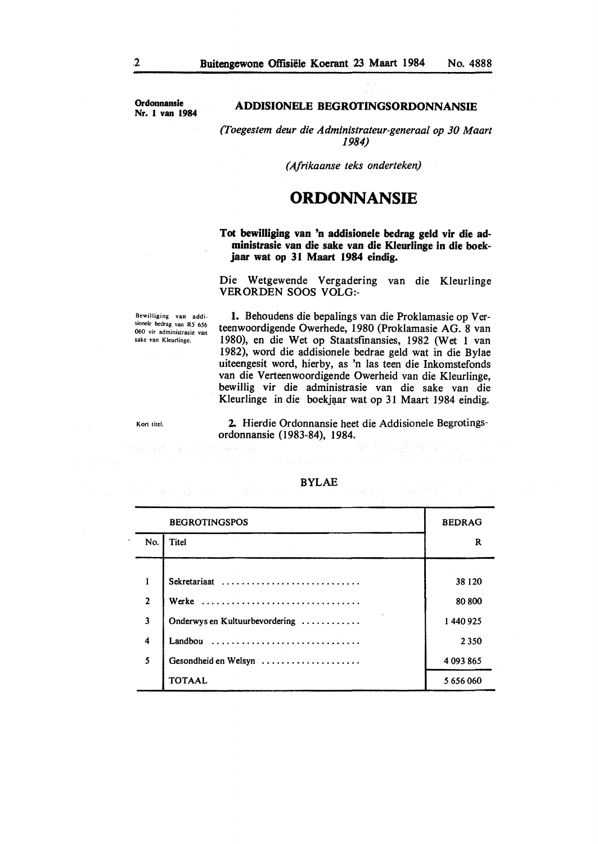**Ordonnansie**  Nr. I **van 1984** 

#### **ADDISIONELE BEGROTINGSORDONNANSIE**

*(Toegestem deur die Administrateur-generaal op 30 Maart 1984)* 

*(Afrikaanse teks onderteken)* 

## **ORDONNANSIE**

**Tot bewilliging van 'n addisionele bedrag geld vir die administrasie van die sake van die Kleurlinge in die boekjaar wat op 31 Maart 1984 eindig.** 

Die Wetgewende Vergadering van die Kleurlinge VERORDEN SOOS VOLG:-

Bewilliging van addisionele bedrag van R5 656 060 vir administrasie van sake van Kleurlinge.

第二次付出了 1288-1412

**1.** Behoudens die bepalings van die Proklamasie op Verteenwoordigende Owerhede, 1980 (Proklamasie AG. 8 van 1980), en die Wet op Staatsfinansies, 1982 (Wet 1 van 1982), word die addisionele bedrae geld wat in die Bylae uiteengesit word, hierby, as 'n las teen die Inkomstefonds van die Verteenwoordigende Owerheid van die Kleurlinge, bewillig vir die administrasie van die sake van die Kleurlinge in die boekjaar wat op 31 Maart 1984 eindig.

Kort titel.

**2.** Hierdie Ordonnansie beet die Addisionele Begrotingsordonnansie (1983-84), 1984.

|                         | <b>BEGROTINGSPOS</b>           | <b>BEDRAG</b> |
|-------------------------|--------------------------------|---------------|
| No.                     | Titel                          | R             |
|                         |                                |               |
| 1                       | Sekretariaat                   | 38 1 20       |
| $\overline{2}$          | Werke                          | 80 800        |
| $\overline{\mathbf{3}}$ | Onderwys en Kultuurbevordering | 1440925       |
| $\overline{4}$          | Landbou                        | 2350          |
| 5                       | Gesondheid en Welsyn           | 4 093 865     |
|                         | <b>TOTAAL</b>                  | 5 656 060     |